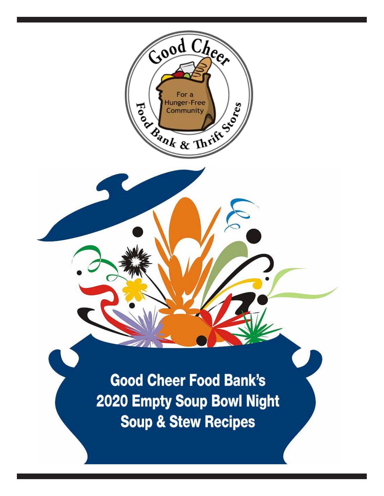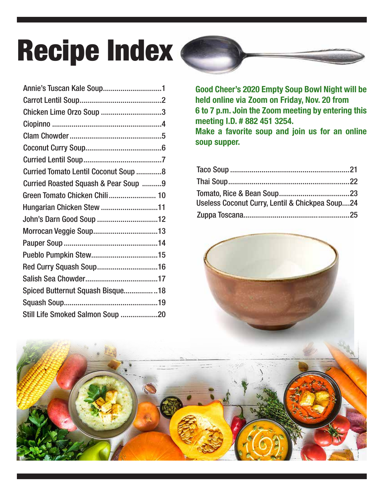# **Recipe Index (**

| Annie's Tuscan Kale Soup1                    |
|----------------------------------------------|
|                                              |
| Chicken Lime Orzo Soup 3                     |
|                                              |
|                                              |
|                                              |
|                                              |
| <b>Curried Tomato Lentil Coconut Soup  8</b> |
| Curried Roasted Squash & Pear Soup 9         |
| Green Tomato Chicken Chili 10                |
| Hungarian Chicken Stew 11                    |
| John's Darn Good Soup 12                     |
|                                              |
|                                              |
|                                              |
|                                              |
|                                              |
| Spiced Butternut Squash Bisque18             |
|                                              |
| Still Life Smoked Salmon Soup 20             |
|                                              |

Good Cheer's 2020 Empty Soup Bowl Night will be held online via Zoom on Friday, Nov. 20 from 6 to 7 p.m. Join the Zoom meeting by entering this meeting I.D. # 882 451 3254. Make a favorite soup and join us for an online soup supper.

| Useless Coconut Curry, Lentil & Chickpea Soup24 |  |
|-------------------------------------------------|--|
|                                                 |  |

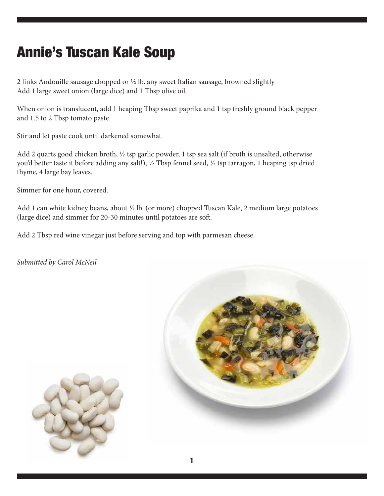### Annie's Tuscan Kale Soup

2 links Andouille sausage chopped or ½ lb. any sweet Italian sausage, browned slightly Add 1 large sweet onion (large dice) and 1 Tbsp olive oil.

When onion is translucent, add 1 heaping Tbsp sweet paprika and 1 tsp freshly ground black pepper and 1.5 to 2 Tbsp tomato paste.

Stir and let paste cook until darkened somewhat.

Add 2 quarts good chicken broth, ½ tsp garlic powder, 1 tsp sea salt (if broth is unsalted, otherwise you'd better taste it before adding any salt!), ½ Tbsp fennel seed, ½ tsp tarragon, 1 heaping tsp dried thyme, 4 large bay leaves.

Simmer for one hour, covered.

Add 1 can white kidney beans, about ½ lb. (or more) chopped Tuscan Kale, 2 medium large potatoes (large dice) and simmer for 20-30 minutes until potatoes are soft.

Add 2 Tbsp red wine vinegar just before serving and top with parmesan cheese.

*Submitted by Carol McNeil*



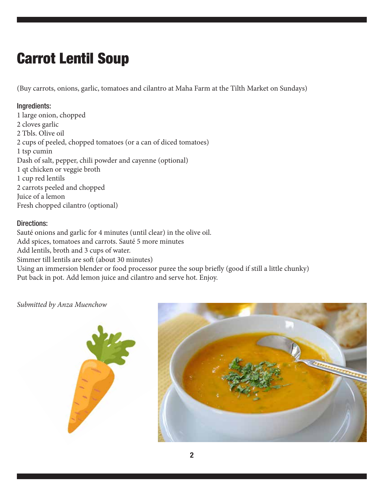### Carrot Lentil Soup

(Buy carrots, onions, garlic, tomatoes and cilantro at Maha Farm at the Tilth Market on Sundays)

#### Ingredients:

1 large onion, chopped 2 cloves garlic 2 Tbls. Olive oil 2 cups of peeled, chopped tomatoes (or a can of diced tomatoes) 1 tsp cumin Dash of salt, pepper, chili powder and cayenne (optional) 1 qt chicken or veggie broth 1 cup red lentils 2 carrots peeled and chopped Juice of a lemon Fresh chopped cilantro (optional)

#### Directions:

Sauté onions and garlic for 4 minutes (until clear) in the olive oil. Add spices, tomatoes and carrots. Sauté 5 more minutes Add lentils, broth and 3 cups of water. Simmer till lentils are soft (about 30 minutes) Using an immersion blender or food processor puree the soup briefly (good if still a little chunky) Put back in pot. Add lemon juice and cilantro and serve hot. Enjoy.

*Submitted by Anza Muenchow*



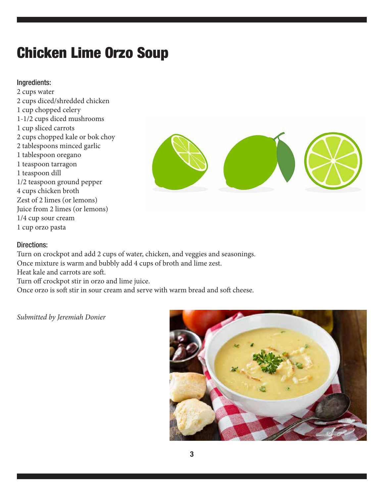### Chicken Lime Orzo Soup

#### Ingredients:

2 cups water 2 cups diced/shredded chicken 1 cup chopped celery 1-1/2 cups diced mushrooms 1 cup sliced carrots 2 cups chopped kale or bok choy 2 tablespoons minced garlic 1 tablespoon oregano 1 teaspoon tarragon 1 teaspoon dill 1/2 teaspoon ground pepper 4 cups chicken broth Zest of 2 limes (or lemons) Juice from 2 limes (or lemons) 1/4 cup sour cream 1 cup orzo pasta



#### Directions:

Turn on crockpot and add 2 cups of water, chicken, and veggies and seasonings. Once mixture is warm and bubbly add 4 cups of broth and lime zest. Heat kale and carrots are soft.

Turn off crockpot stir in orzo and lime juice.

Once orzo is soft stir in sour cream and serve with warm bread and soft cheese.

*Submitted by Jeremiah Donier*

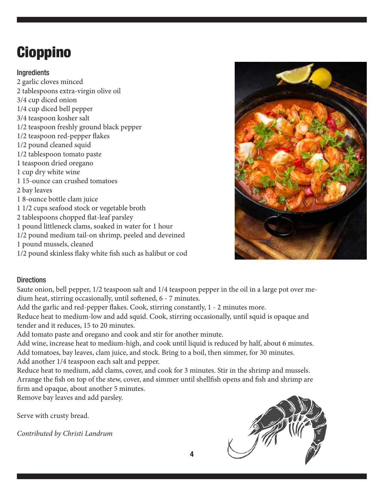### Cioppino

### **Ingredients**

2 garlic cloves minced 2 tablespoons extra-virgin olive oil 3/4 cup diced onion 1/4 cup diced bell pepper 3/4 teaspoon kosher salt 1/2 teaspoon freshly ground black pepper 1/2 teaspoon red-pepper flakes 1/2 pound cleaned squid 1/2 tablespoon tomato paste 1 teaspoon dried oregano 1 cup dry white wine 1 15-ounce can crushed tomatoes 2 bay leaves 1 8-ounce bottle clam juice 1 1/2 cups seafood stock or vegetable broth 2 tablespoons chopped flat-leaf parsley 1 pound littleneck clams, soaked in water for 1 hour 1/2 pound medium tail-on shrimp, peeled and deveined 1 pound mussels, cleaned 1/2 pound skinless flaky white fish such as halibut or cod



### **Directions**

Saute onion, bell pepper, 1/2 teaspoon salt and 1/4 teaspoon pepper in the oil in a large pot over medium heat, stirring occasionally, until softened, 6 - 7 minutes.

Add the garlic and red-pepper flakes. Cook, stirring constantly, 1 - 2 minutes more.

Reduce heat to medium-low and add squid. Cook, stirring occasionally, until squid is opaque and tender and it reduces, 15 to 20 minutes.

Add tomato paste and oregano and cook and stir for another minute.

Add wine, increase heat to medium-high, and cook until liquid is reduced by half, about 6 minutes. Add tomatoes, bay leaves, clam juice, and stock. Bring to a boil, then simmer, for 30 minutes. Add another 1/4 teaspoon each salt and pepper.

Reduce heat to medium, add clams, cover, and cook for 3 minutes. Stir in the shrimp and mussels. Arrange the fish on top of the stew, cover, and simmer until shellfish opens and fish and shrimp are firm and opaque, about another 5 minutes.

Remove bay leaves and add parsley.

Serve with crusty bread.

*Contributed by Christi Landrum*

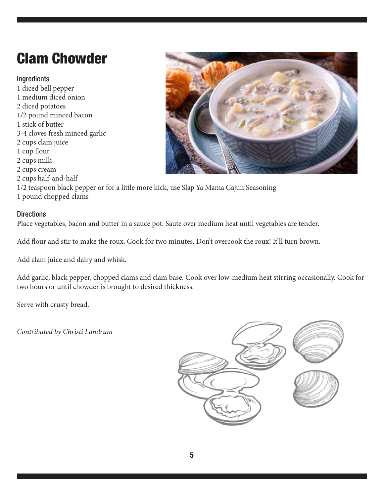### Clam Chowder

### Ingredients

1 diced bell pepper 1 medium diced onion 2 diced potatoes 1/2 pound minced bacon 1 stick of butter 3-4 cloves fresh minced garlic 2 cups clam juice 1 cup flour 2 cups milk 2 cups cream 2 cups half-and-half 1/2 teaspoon black pepper or for a little more kick, use Slap Ya Mama Cajun Seasoning 1 pound chopped clams

#### **Directions**

Place vegetables, bacon and butter in a sauce pot. Saute over medium heat until vegetables are tender.

Add flour and stir to make the roux. Cook for two minutes. Don't overcook the roux! It'll turn brown.

Add clam juice and dairy and whisk.

Add garlic, black pepper, chopped clams and clam base. Cook over low-medium heat stirring occasionally. Cook for two hours or until chowder is brought to desired thickness.

Serve with crusty bread.

*Contributed by Christi Landrum*



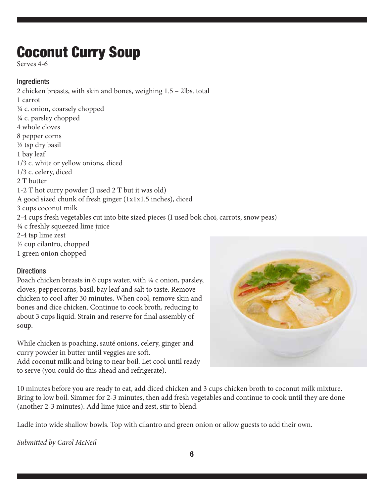### Coconut Curry Soup

Serves 4-6

#### Ingredients

2 chicken breasts, with skin and bones, weighing 1.5 – 2lbs. total 1 carrot ¼ c. onion, coarsely chopped ¼ c. parsley chopped 4 whole cloves 8 pepper corns ½ tsp dry basil 1 bay leaf 1/3 c. white or yellow onions, diced 1/3 c. celery, diced 2 T butter 1-2 T hot curry powder (I used 2 T but it was old) A good sized chunk of fresh ginger (1x1x1.5 inches), diced 3 cups coconut milk 2-4 cups fresh vegetables cut into bite sized pieces (I used bok choi, carrots, snow peas) ¼ c freshly squeezed lime juice 2-4 tsp lime zest ½ cup cilantro, chopped 1 green onion chopped

#### **Directions**

Poach chicken breasts in 6 cups water, with  $\frac{1}{4}$  c onion, parsley, cloves, peppercorns, basil, bay leaf and salt to taste. Remove chicken to cool after 30 minutes. When cool, remove skin and bones and dice chicken. Continue to cook broth, reducing to about 3 cups liquid. Strain and reserve for final assembly of soup.

While chicken is poaching, sauté onions, celery, ginger and curry powder in butter until veggies are soft. Add coconut milk and bring to near boil. Let cool until ready to serve (you could do this ahead and refrigerate).



10 minutes before you are ready to eat, add diced chicken and 3 cups chicken broth to coconut milk mixture. Bring to low boil. Simmer for 2-3 minutes, then add fresh vegetables and continue to cook until they are done (another 2-3 minutes). Add lime juice and zest, stir to blend.

Ladle into wide shallow bowls. Top with cilantro and green onion or allow guests to add their own.

*Submitted by Carol McNeil*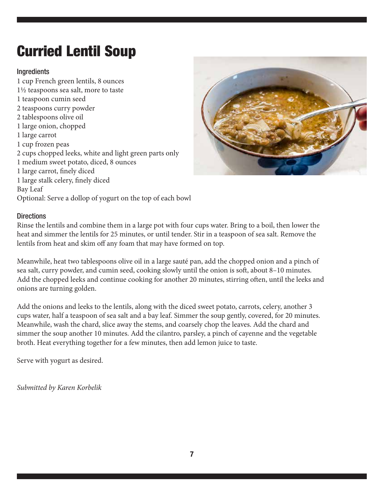### Curried Lentil Soup

### Ingredients

1 cup French green lentils, 8 ounces 1½ teaspoons sea salt, more to taste 1 teaspoon cumin seed 2 teaspoons curry powder 2 tablespoons olive oil 1 large onion, chopped 1 large carrot 1 cup frozen peas 2 cups chopped leeks, white and light green parts only 1 medium sweet potato, diced, 8 ounces 1 large carrot, finely diced 1 large stalk celery, finely diced Bay Leaf Optional: Serve a dollop of yogurt on the top of each bowl



#### **Directions**

Rinse the lentils and combine them in a large pot with four cups water. Bring to a boil, then lower the heat and simmer the lentils for 25 minutes, or until tender. Stir in a teaspoon of sea salt. Remove the lentils from heat and skim off any foam that may have formed on top.

Meanwhile, heat two tablespoons olive oil in a large sauté pan, add the chopped onion and a pinch of sea salt, curry powder, and cumin seed, cooking slowly until the onion is soft, about 8–10 minutes. Add the chopped leeks and continue cooking for another 20 minutes, stirring often, until the leeks and onions are turning golden.

Add the onions and leeks to the lentils, along with the diced sweet potato, carrots, celery, another 3 cups water, half a teaspoon of sea salt and a bay leaf. Simmer the soup gently, covered, for 20 minutes. Meanwhile, wash the chard, slice away the stems, and coarsely chop the leaves. Add the chard and simmer the soup another 10 minutes. Add the cilantro, parsley, a pinch of cayenne and the vegetable broth. Heat everything together for a few minutes, then add lemon juice to taste.

Serve with yogurt as desired.

*Submitted by Karen Korbelik*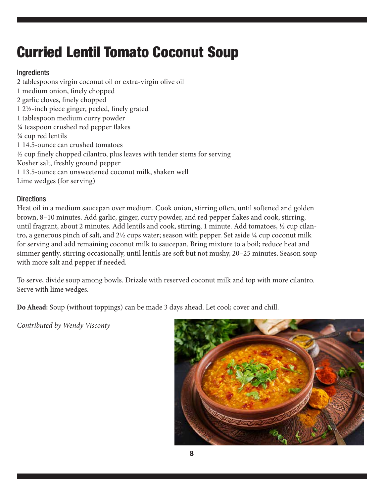### Curried Lentil Tomato Coconut Soup

### Ingredients

2 tablespoons virgin coconut oil or extra-virgin olive oil 1 medium onion, finely chopped 2 garlic cloves, finely chopped 1 2½-inch piece ginger, peeled, finely grated 1 tablespoon medium curry powder ¼ teaspoon crushed red pepper flakes ¾ cup red lentils 1 14.5-ounce can crushed tomatoes ½ cup finely chopped cilantro, plus leaves with tender stems for serving Kosher salt, freshly ground pepper 1 13.5-ounce can unsweetened coconut milk, shaken well Lime wedges (for serving)

#### **Directions**

Heat oil in a medium saucepan over medium. Cook onion, stirring often, until softened and golden brown, 8–10 minutes. Add garlic, ginger, curry powder, and red pepper flakes and cook, stirring, until fragrant, about 2 minutes. Add lentils and cook, stirring, 1 minute. Add tomatoes, ½ cup cilantro, a generous pinch of salt, and 2½ cups water; season with pepper. Set aside ¼ cup coconut milk for serving and add remaining coconut milk to saucepan. Bring mixture to a boil; reduce heat and simmer gently, stirring occasionally, until lentils are soft but not mushy, 20–25 minutes. Season soup with more salt and pepper if needed.

To serve, divide soup among bowls. Drizzle with reserved coconut milk and top with more cilantro. Serve with lime wedges.

**Do Ahead:** Soup (without toppings) can be made 3 days ahead. Let cool; cover and chill.

*Contributed by Wendy Visconty*

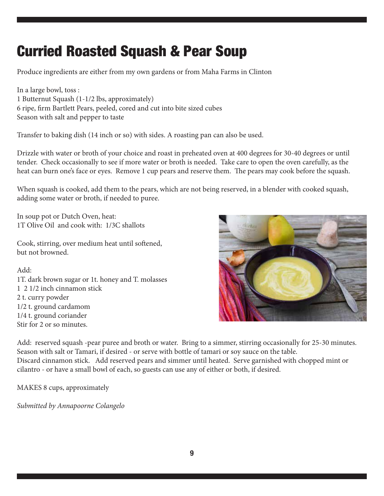### Curried Roasted Squash & Pear Soup

Produce ingredients are either from my own gardens or from Maha Farms in Clinton

In a large bowl, toss : 1 Butternut Squash (1-1/2 lbs, approximately) 6 ripe, firm Bartlett Pears, peeled, cored and cut into bite sized cubes Season with salt and pepper to taste

Transfer to baking dish (14 inch or so) with sides. A roasting pan can also be used.

Drizzle with water or broth of your choice and roast in preheated oven at 400 degrees for 30-40 degrees or until tender. Check occasionally to see if more water or broth is needed. Take care to open the oven carefully, as the heat can burn one's face or eyes. Remove 1 cup pears and reserve them. The pears may cook before the squash.

When squash is cooked, add them to the pears, which are not being reserved, in a blender with cooked squash, adding some water or broth, if needed to puree.

In soup pot or Dutch Oven, heat: 1T Olive Oil and cook with: 1/3C shallots

Cook, stirring, over medium heat until softened, but not browned.

Add: 1T. dark brown sugar or 1t. honey and T. molasses 1 2 1/2 inch cinnamon stick 2 t. curry powder 1/2 t. ground cardamom 1/4 t. ground coriander Stir for 2 or so minutes.



Add: reserved squash -pear puree and broth or water. Bring to a simmer, stirring occasionally for 25-30 minutes. Season with salt or Tamari, if desired - or serve with bottle of tamari or soy sauce on the table. Discard cinnamon stick. Add reserved pears and simmer until heated. Serve garnished with chopped mint or cilantro - or have a small bowl of each, so guests can use any of either or both, if desired.

MAKES 8 cups, approximately

*Submitted by Annapoorne Colangelo*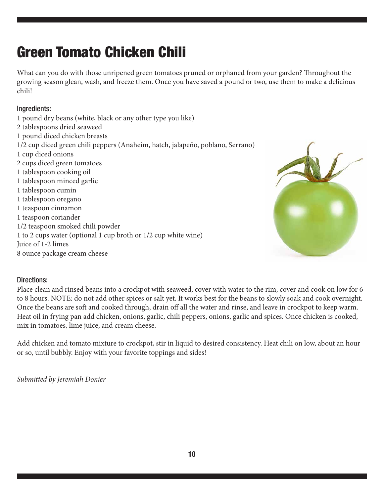### Green Tomato Chicken Chili

What can you do with those unripened green tomatoes pruned or orphaned from your garden? Throughout the growing season glean, wash, and freeze them. Once you have saved a pound or two, use them to make a delicious chili!

### Ingredients:

1 pound dry beans (white, black or any other type you like) 2 tablespoons dried seaweed 1 pound diced chicken breasts 1/2 cup diced green chili peppers (Anaheim, hatch, jalapeño, poblano, Serrano) 1 cup diced onions 2 cups diced green tomatoes 1 tablespoon cooking oil 1 tablespoon minced garlic 1 tablespoon cumin 1 tablespoon oregano 1 teaspoon cinnamon 1 teaspoon coriander 1/2 teaspoon smoked chili powder 1 to 2 cups water (optional 1 cup broth or 1/2 cup white wine) Juice of 1-2 limes 8 ounce package cream cheese



### Directions:

Place clean and rinsed beans into a crockpot with seaweed, cover with water to the rim, cover and cook on low for 6 to 8 hours. NOTE: do not add other spices or salt yet. It works best for the beans to slowly soak and cook overnight. Once the beans are soft and cooked through, drain off all the water and rinse, and leave in crockpot to keep warm. Heat oil in frying pan add chicken, onions, garlic, chili peppers, onions, garlic and spices. Once chicken is cooked, mix in tomatoes, lime juice, and cream cheese.

Add chicken and tomato mixture to crockpot, stir in liquid to desired consistency. Heat chili on low, about an hour or so, until bubbly. Enjoy with your favorite toppings and sides!

*Submitted by Jeremiah Donier*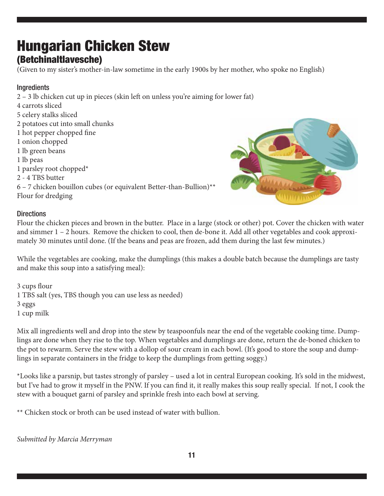## Hungarian Chicken Stew

### (Betchinaltlavesche)

(Given to my sister's mother-in-law sometime in the early 1900s by her mother, who spoke no English)

### Ingredients

2 – 3 lb chicken cut up in pieces (skin left on unless you're aiming for lower fat) 4 carrots sliced 5 celery stalks sliced 2 potatoes cut into small chunks 1 hot pepper chopped fine 1 onion chopped 1 lb green beans 1 lb peas 1 parsley root chopped\* 2 - 4 TBS butter 6 – 7 chicken bouillon cubes (or equivalent Better-than-Bullion)\*\* Flour for dredging



#### **Directions**

Flour the chicken pieces and brown in the butter. Place in a large (stock or other) pot. Cover the chicken with water and simmer 1 – 2 hours. Remove the chicken to cool, then de-bone it. Add all other vegetables and cook approximately 30 minutes until done. (If the beans and peas are frozen, add them during the last few minutes.)

While the vegetables are cooking, make the dumplings (this makes a double batch because the dumplings are tasty and make this soup into a satisfying meal):

3 cups flour 1 TBS salt (yes, TBS though you can use less as needed) 3 eggs 1 cup milk

Mix all ingredients well and drop into the stew by teaspoonfuls near the end of the vegetable cooking time. Dumplings are done when they rise to the top. When vegetables and dumplings are done, return the de-boned chicken to the pot to rewarm. Serve the stew with a dollop of sour cream in each bowl. (It's good to store the soup and dumplings in separate containers in the fridge to keep the dumplings from getting soggy.)

\*Looks like a parsnip, but tastes strongly of parsley – used a lot in central European cooking. It's sold in the midwest, but I've had to grow it myself in the PNW. If you can find it, it really makes this soup really special. If not, I cook the stew with a bouquet garni of parsley and sprinkle fresh into each bowl at serving.

\*\* Chicken stock or broth can be used instead of water with bullion.

*Submitted by Marcia Merryman*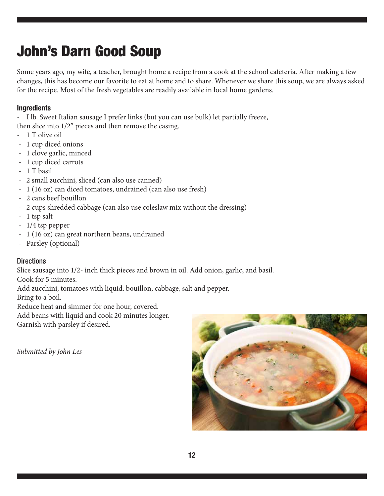### John's Darn Good Soup

Some years ago, my wife, a teacher, brought home a recipe from a cook at the school cafeteria. After making a few changes, this has become our favorite to eat at home and to share. Whenever we share this soup, we are always asked for the recipe. Most of the fresh vegetables are readily available in local home gardens.

### **Ingredients**

- I lb. Sweet Italian sausage I prefer links (but you can use bulk) let partially freeze,

then slice into 1/2" pieces and then remove the casing.

- 1 T olive oil
- 1 cup diced onions
- 1 clove garlic, minced
- 1 cup diced carrots
- 1 T basil
- 2 small zucchini, sliced (can also use canned)
- 1 (16 oz) can diced tomatoes, undrained (can also use fresh)
- 2 cans beef bouillon
- 2 cups shredded cabbage (can also use coleslaw mix without the dressing)
- 1 tsp salt
- 1/4 tsp pepper
- 1 (16 oz) can great northern beans, undrained
- Parsley (optional)

### **Directions**

Slice sausage into 1/2- inch thick pieces and brown in oil. Add onion, garlic, and basil.

Cook for 5 minutes.

Add zucchini, tomatoes with liquid, bouillon, cabbage, salt and pepper.

Bring to a boil.

Reduce heat and simmer for one hour, covered.

Add beans with liquid and cook 20 minutes longer.

Garnish with parsley if desired.

*Submitted by John Les*

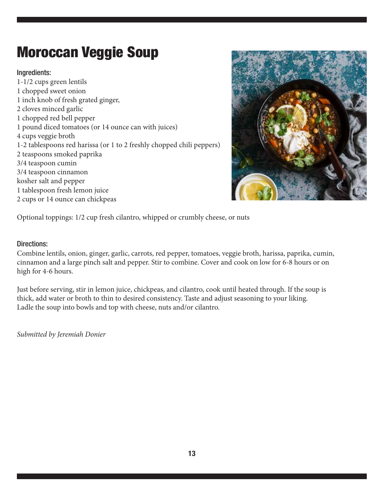### Moroccan Veggie Soup

### Ingredients:

1-1/2 cups green lentils 1 chopped sweet onion 1 inch knob of fresh grated ginger, 2 cloves minced garlic 1 chopped red bell pepper 1 pound diced tomatoes (or 14 ounce can with juices) 4 cups veggie broth 1-2 tablespoons red harissa (or 1 to 2 freshly chopped chili peppers) 2 teaspoons smoked paprika 3/4 teaspoon cumin 3/4 teaspoon cinnamon kosher salt and pepper 1 tablespoon fresh lemon juice 2 cups or 14 ounce can chickpeas



Optional toppings: 1/2 cup fresh cilantro, whipped or crumbly cheese, or nuts

#### Directions:

Combine lentils, onion, ginger, garlic, carrots, red pepper, tomatoes, veggie broth, harissa, paprika, cumin, cinnamon and a large pinch salt and pepper. Stir to combine. Cover and cook on low for 6-8 hours or on high for 4-6 hours.

Just before serving, stir in lemon juice, chickpeas, and cilantro, cook until heated through. If the soup is thick, add water or broth to thin to desired consistency. Taste and adjust seasoning to your liking. Ladle the soup into bowls and top with cheese, nuts and/or cilantro.

*Submitted by Jeremiah Donier*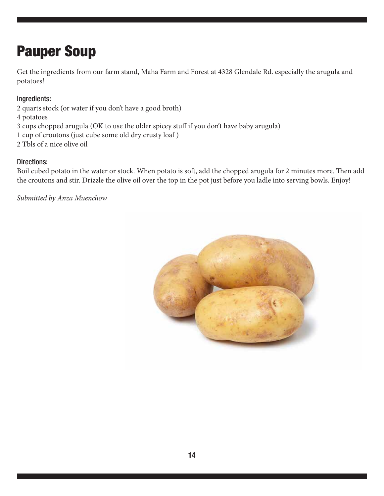### Pauper Soup

Get the ingredients from our farm stand, Maha Farm and Forest at 4328 Glendale Rd. especially the arugula and potatoes!

### Ingredients:

- 2 quarts stock (or water if you don't have a good broth)
- 4 potatoes
- 3 cups chopped arugula (OK to use the older spicey stuff if you don't have baby arugula)
- 1 cup of croutons (just cube some old dry crusty loaf )
- 2 Tbls of a nice olive oil

### Directions:

Boil cubed potato in the water or stock. When potato is soft, add the chopped arugula for 2 minutes more. Then add the croutons and stir. Drizzle the olive oil over the top in the pot just before you ladle into serving bowls. Enjoy!

*Submitted by Anza Muenchow*

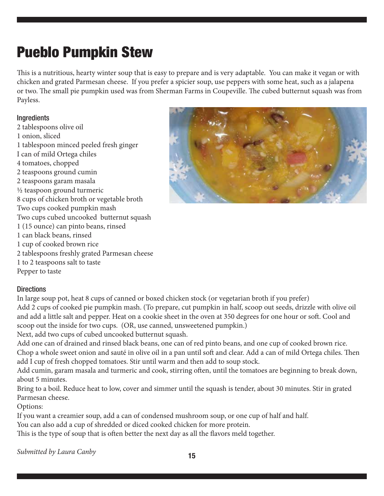### Pueblo Pumpkin Stew

This is a nutritious, hearty winter soup that is easy to prepare and is very adaptable. You can make it vegan or with chicken and grated Parmesan cheese. If you prefer a spicier soup, use peppers with some heat, such as a jalapena or two. The small pie pumpkin used was from Sherman Farms in Coupeville. The cubed butternut squash was from Payless.

#### Ingredients

2 tablespoons olive oil 1 onion, sliced 1 tablespoon minced peeled fresh ginger I can of mild Ortega chiles 4 tomatoes, chopped 2 teaspoons ground cumin 2 teaspoons garam masala ½ teaspoon ground turmeric 8 cups of chicken broth or vegetable broth Two cups cooked pumpkin mash Two cups cubed uncooked butternut squash 1 (15 ounce) can pinto beans, rinsed 1 can black beans, rinsed 1 cup of cooked brown rice 2 tablespoons freshly grated Parmesan cheese 1 to 2 teaspoons salt to taste Pepper to taste



#### **Directions**

In large soup pot, heat 8 cups of canned or boxed chicken stock (or vegetarian broth if you prefer) Add 2 cups of cooked pie pumpkin mash. (To prepare, cut pumpkin in half, scoop out seeds, drizzle with olive oil and add a little salt and pepper. Heat on a cookie sheet in the oven at 350 degrees for one hour or soft. Cool and scoop out the inside for two cups. (OR, use canned, unsweetened pumpkin.)

Next, add two cups of cubed uncooked butternut squash.

Add one can of drained and rinsed black beans, one can of red pinto beans, and one cup of cooked brown rice. Chop a whole sweet onion and sauté in olive oil in a pan until soft and clear. Add a can of mild Ortega chiles. Then add I cup of fresh chopped tomatoes. Stir until warm and then add to soup stock.

Add cumin, garam masala and turmeric and cook, stirring often, until the tomatoes are beginning to break down, about 5 minutes.

Bring to a boil. Reduce heat to low, cover and simmer until the squash is tender, about 30 minutes. Stir in grated Parmesan cheese.

Options:

If you want a creamier soup, add a can of condensed mushroom soup, or one cup of half and half.

You can also add a cup of shredded or diced cooked chicken for more protein.

This is the type of soup that is often better the next day as all the flavors meld together.

*Submitted by Laura Canby*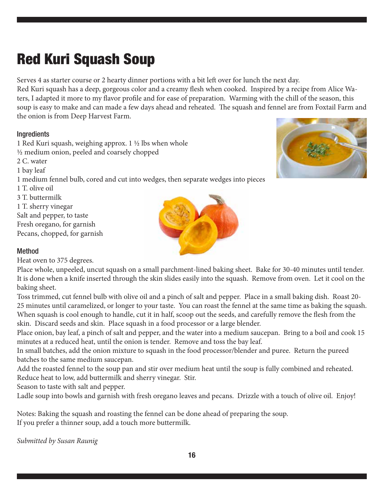### Red Kuri Squash Soup

Serves 4 as starter course or 2 hearty dinner portions with a bit left over for lunch the next day.

Red Kuri squash has a deep, gorgeous color and a creamy flesh when cooked. Inspired by a recipe from Alice Waters, I adapted it more to my flavor profile and for ease of preparation. Warming with the chill of the season, this soup is easy to make and can made a few days ahead and reheated. The squash and fennel are from Foxtail Farm and the onion is from Deep Harvest Farm.

#### Ingredients

1 Red Kuri squash, weighing approx. 1 ½ lbs when whole ½ medium onion, peeled and coarsely chopped 2 C. water 1 bay leaf 1 medium fennel bulb, cored and cut into wedges, then separate wedges into pieces 1 T. olive oil 3 T. buttermilk 1 T. sherry vinegar Salt and pepper, to taste Fresh oregano, for garnish Pecans, chopped, for garnish



Heat oven to 375 degrees.

Place whole, unpeeled, uncut squash on a small parchment-lined baking sheet. Bake for 30-40 minutes until tender. It is done when a knife inserted through the skin slides easily into the squash. Remove from oven. Let it cool on the baking sheet.

Toss trimmed, cut fennel bulb with olive oil and a pinch of salt and pepper. Place in a small baking dish. Roast 20- 25 minutes until caramelized, or longer to your taste. You can roast the fennel at the same time as baking the squash. When squash is cool enough to handle, cut it in half, scoop out the seeds, and carefully remove the flesh from the skin. Discard seeds and skin. Place squash in a food processor or a large blender.

Place onion, bay leaf, a pinch of salt and pepper, and the water into a medium saucepan. Bring to a boil and cook 15 minutes at a reduced heat, until the onion is tender. Remove and toss the bay leaf.

In small batches, add the onion mixture to squash in the food processor/blender and puree. Return the pureed batches to the same medium saucepan.

Add the roasted fennel to the soup pan and stir over medium heat until the soup is fully combined and reheated. Reduce heat to low, add buttermilk and sherry vinegar. Stir.

Season to taste with salt and pepper.

Ladle soup into bowls and garnish with fresh oregano leaves and pecans. Drizzle with a touch of olive oil. Enjoy!

Notes: Baking the squash and roasting the fennel can be done ahead of preparing the soup. If you prefer a thinner soup, add a touch more buttermilk.

*Submitted by Susan Raunig*



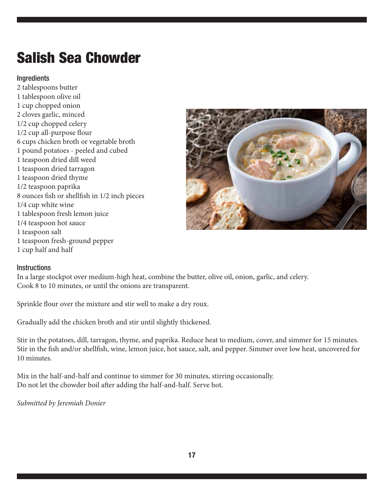### Salish Sea Chowder

#### Ingredients

2 tablespoons butter 1 tablespoon olive oil 1 cup chopped onion 2 cloves garlic, minced 1/2 cup chopped celery 1/2 cup all-purpose flour 6 cups chicken broth or vegetable broth 1 pound potatoes - peeled and cubed 1 teaspoon dried dill weed 1 teaspoon dried tarragon 1 teaspoon dried thyme 1/2 teaspoon paprika 8 ounces fish or shellfish in 1/2 inch pieces 1/4 cup white wine 1 tablespoon fresh lemon juice 1/4 teaspoon hot sauce 1 teaspoon salt 1 teaspoon fresh-ground pepper 1 cup half and half



#### **Instructions**

In a large stockpot over medium-high heat, combine the butter, olive oil, onion, garlic, and celery. Cook 8 to 10 minutes, or until the onions are transparent.

Sprinkle flour over the mixture and stir well to make a dry roux.

Gradually add the chicken broth and stir until slightly thickened.

Stir in the potatoes, dill, tarragon, thyme, and paprika. Reduce heat to medium, cover, and simmer for 15 minutes. Stir in the fish and/or shellfish, wine, lemon juice, hot sauce, salt, and pepper. Simmer over low heat, uncovered for 10 minutes.

Mix in the half-and-half and continue to simmer for 30 minutes, stirring occasionally. Do not let the chowder boil after adding the half-and-half. Serve hot.

*Submitted by Jeremiah Donier*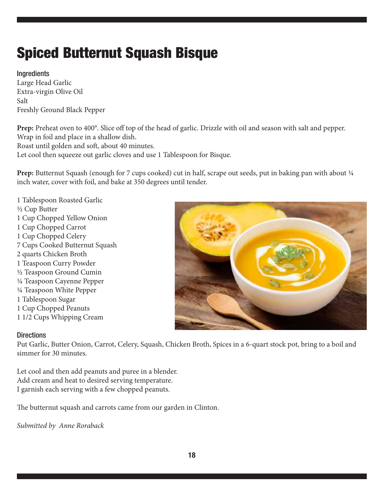### Spiced Butternut Squash Bisque

### **Ingredients**

Large Head Garlic Extra-virgin Olive Oil Salt Freshly Ground Black Pepper

**Prep:** Preheat oven to 400°. Slice off top of the head of garlic. Drizzle with oil and season with salt and pepper. Wrap in foil and place in a shallow dish.

Roast until golden and soft, about 40 minutes.

Let cool then squeeze out garlic cloves and use 1 Tablespoon for Bisque.

**Prep:** Butternut Squash (enough for 7 cups cooked) cut in half, scrape out seeds, put in baking pan with about 1/4 inch water, cover with foil, and bake at 350 degrees until tender.

1 Tablespoon Roasted Garlic ½ Cup Butter 1 Cup Chopped Yellow Onion 1 Cup Chopped Carrot 1 Cup Chopped Celery 7 Cups Cooked Butternut Squash 2 quarts Chicken Broth 1 Teaspoon Curry Powder ½ Teaspoon Ground Cumin ¼ Teaspoon Cayenne Pepper ¼ Teaspoon White Pepper 1 Tablespoon Sugar 1 Cup Chopped Peanuts 1 1/2 Cups Whipping Cream



### **Directions**

Put Garlic, Butter Onion, Carrot, Celery, Squash, Chicken Broth, Spices in a 6-quart stock pot, bring to a boil and simmer for 30 minutes.

Let cool and then add peanuts and puree in a blender. Add cream and heat to desired serving temperature. I garnish each serving with a few chopped peanuts.

The butternut squash and carrots came from our garden in Clinton.

*Submitted by Anne Roraback*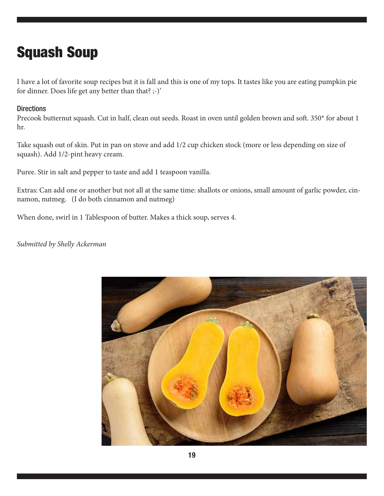### Squash Soup

I have a lot of favorite soup recipes but it is fall and this is one of my tops. It tastes like you are eating pumpkin pie for dinner. Does life get any better than that? ;-)'

#### **Directions**

Precook butternut squash. Cut in half, clean out seeds. Roast in oven until golden brown and soft. 350\* for about 1 hr.

Take squash out of skin. Put in pan on stove and add 1/2 cup chicken stock (more or less depending on size of squash). Add 1/2-pint heavy cream.

Puree. Stir in salt and pepper to taste and add 1 teaspoon vanilla.

Extras: Can add one or another but not all at the same time: shallots or onions, small amount of garlic powder, cinnamon, nutmeg. (I do both cinnamon and nutmeg)

When done, swirl in 1 Tablespoon of butter. Makes a thick soup, serves 4.

#### *Submitted by Shelly Ackerman*

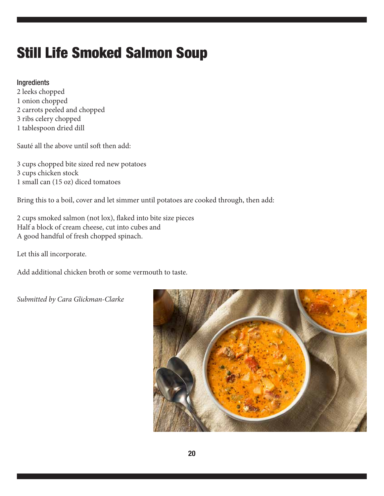### Still Life Smoked Salmon Soup

#### Ingredients

2 leeks chopped 1 onion chopped 2 carrots peeled and chopped 3 ribs celery chopped 1 tablespoon dried dill

Sauté all the above until soft then add:

3 cups chopped bite sized red new potatoes 3 cups chicken stock 1 small can (15 oz) diced tomatoes

Bring this to a boil, cover and let simmer until potatoes are cooked through, then add:

2 cups smoked salmon (not lox), flaked into bite size pieces Half a block of cream cheese, cut into cubes and A good handful of fresh chopped spinach.

Let this all incorporate.

Add additional chicken broth or some vermouth to taste.

*Submitted by Cara Glickman-Clarke*

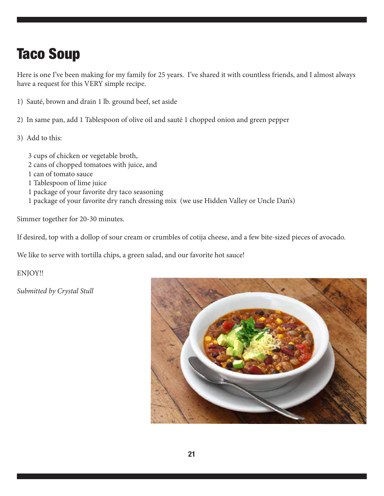### Taco Soup

Here is one I've been making for my family for 25 years. I've shared it with countless friends, and I almost always have a request for this VERY simple recipe.

- 1) Sauté, brown and drain 1 lb. ground beef, set aside
- 2) In same pan, add 1 Tablespoon of olive oil and sauté 1 chopped onion and green pepper
- 3) Add to this:

3 cups of chicken or vegetable broth, 2 cans of chopped tomatoes with juice, and 1 can of tomato sauce 1 Tablespoon of lime juice 1 package of your favorite dry taco seasoning 1 package of your favorite dry ranch dressing mix (we use Hidden Valley or Uncle Dan's)

Simmer together for 20-30 minutes.

If desired, top with a dollop of sour cream or crumbles of cotija cheese, and a few bite-sized pieces of avocado.

We like to serve with tortilla chips, a green salad, and our favorite hot sauce!

ENJOY!!

*Submitted by Crystal Stull*

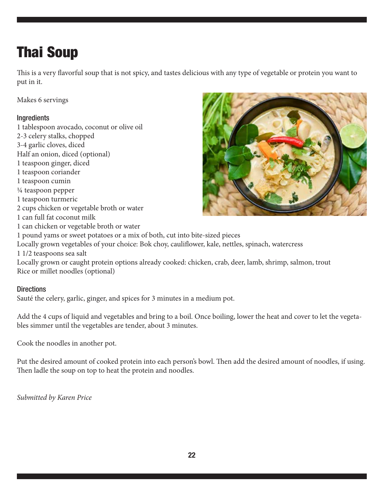### Thai Soup

This is a very flavorful soup that is not spicy, and tastes delicious with any type of vegetable or protein you want to put in it.

Makes 6 servings

### **Ingredients**

1 tablespoon avocado, coconut or olive oil 2-3 celery stalks, chopped 3-4 garlic cloves, diced Half an onion, diced (optional) 1 teaspoon ginger, diced 1 teaspoon coriander 1 teaspoon cumin ¼ teaspoon pepper 1 teaspoon turmeric 2 cups chicken or vegetable broth or water 1 can full fat coconut milk 1 can chicken or vegetable broth or water 1 pound yams or sweet potatoes or a mix of both, cut into bite-sized pieces Locally grown vegetables of your choice: Bok choy, cauliflower, kale, nettles, spinach, watercress 1 1/2 teaspoons sea salt



Locally grown or caught protein options already cooked: chicken, crab, deer, lamb, shrimp, salmon, trout Rice or millet noodles (optional)

### **Directions**

Sauté the celery, garlic, ginger, and spices for 3 minutes in a medium pot.

Add the 4 cups of liquid and vegetables and bring to a boil. Once boiling, lower the heat and cover to let the vegetables simmer until the vegetables are tender, about 3 minutes.

Cook the noodles in another pot.

Put the desired amount of cooked protein into each person's bowl. Then add the desired amount of noodles, if using. Then ladle the soup on top to heat the protein and noodles.

*Submitted by Karen Price*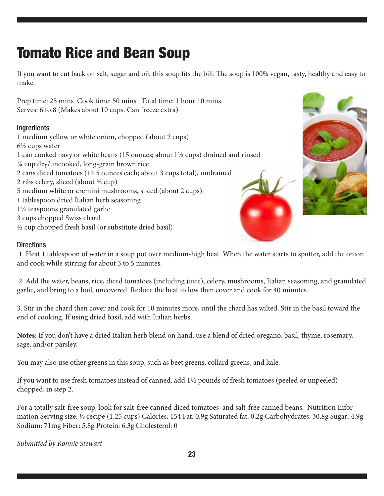### Tomato Rice and Bean Soup

If you want to cut back on salt, sugar and oil, this soup fits the bill. The soup is 100% vegan, tasty, healthy and easy to make.

Prep time: 25 mins Cook time: 50 mins Total time: 1 hour 10 mins. Serves: 6 to 8 (Makes about 10 cups. Can freeze extra)

### Ingredients

1 medium yellow or white onion, chopped (about 2 cups) 6½ cups water 1 can cooked navy or white beans (15 ounces; about 1½ cups) drained and rinsed ¾ cup dry/uncooked, long-grain brown rice 2 cans diced tomatoes (14.5 ounces each; about 3 cups total), undrained 2 ribs celery, sliced (about ⅔ cup) 5 medium white or cremini mushrooms, sliced (about 2 cups) 1 tablespoon dried Italian herb seasoning 1½ teaspoons granulated garlic 3 cups chopped Swiss chard ½ cup chopped fresh basil (or substitute dried basil)



### **Directions**

 1. Heat 1 tablespoon of water in a soup pot over medium-high heat. When the water starts to sputter, add the onion and cook while stirring for about 3 to 5 minutes.

 2. Add the water, beans, rice, diced tomatoes (including juice), celery, mushrooms, Italian seasoning, and granulated garlic, and bring to a boil, uncovered. Reduce the heat to low then cover and cook for 40 minutes.

3. Stir in the chard then cover and cook for 10 minutes more, until the chard has wilted. Stir in the basil toward the end of cooking. If using dried basil, add with Italian herbs.

**Notes:** If you don't have a dried Italian herb blend on hand, use a blend of dried oregano, basil, thyme, rosemary, sage, and/or parsley.

You may also use other greens in this soup, such as beet greens, collard greens, and kale.

If you want to use fresh tomatoes instead of canned, add 1½ pounds of fresh tomatoes (peeled or unpeeled) chopped, in step 2.

For a totally salt-free soup, look for salt-free canned diced tomatoes and salt-free canned beans. Nutrition Information Serving size: ⅛ recipe (1.25 cups) Calories: 154 Fat: 0.9g Saturated fat: 0.2g Carbohydrates: 30.8g Sugar: 4.9g Sodium: 71mg Fiber: 5.8g Protein: 6.3g Cholesterol: 0

*Submitted by Ronnie Stewart*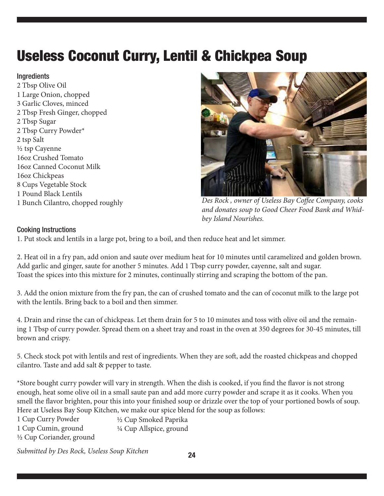### Useless Coconut Curry, Lentil & Chickpea Soup

#### **Ingredients**

2 Tbsp Olive Oil 1 Large Onion, chopped 3 Garlic Cloves, minced 2 Tbsp Fresh Ginger, chopped 2 Tbsp Sugar 2 Tbsp Curry Powder\* 2 tsp Salt ½ tsp Cayenne 16oz Crushed Tomato 16oz Canned Coconut Milk 16oz Chickpeas 8 Cups Vegetable Stock 1 Pound Black Lentils 1 Bunch Cilantro, chopped roughly



*Des Rock , owner of Useless Bay Coffee Company, cooks and donates soup to Good Cheer Food Bank and Whidbey Island Nourishes.*

#### Cooking Instructions

1. Put stock and lentils in a large pot, bring to a boil, and then reduce heat and let simmer.

2. Heat oil in a fry pan, add onion and saute over medium heat for 10 minutes until caramelized and golden brown. Add garlic and ginger, saute for another 5 minutes. Add 1 Tbsp curry powder, cayenne, salt and sugar. Toast the spices into this mixture for 2 minutes, continually stirring and scraping the bottom of the pan.

3. Add the onion mixture from the fry pan, the can of crushed tomato and the can of coconut milk to the large pot with the lentils. Bring back to a boil and then simmer.

4. Drain and rinse the can of chickpeas. Let them drain for 5 to 10 minutes and toss with olive oil and the remaining 1 Tbsp of curry powder. Spread them on a sheet tray and roast in the oven at 350 degrees for 30-45 minutes, till brown and crispy.

5. Check stock pot with lentils and rest of ingredients. When they are soft, add the roasted chickpeas and chopped cilantro. Taste and add salt & pepper to taste.

\*Store bought curry powder will vary in strength. When the dish is cooked, if you find the flavor is not strong enough, heat some olive oil in a small saute pan and add more curry powder and scrape it as it cooks. When you smell the flavor brighten, pour this into your finished soup or drizzle over the top of your portioned bowls of soup. Here at Useless Bay Soup Kitchen, we make our spice blend for the soup as follows:

| 1 Cup Curry Powder        | 1/2 Cup Smoked Paprika   |
|---------------------------|--------------------------|
| 1 Cup Cumin, ground       | 1/4 Cup Allspice, ground |
| 1/2 Cup Coriander, ground |                          |

*Submitted by Des Rock, Useless Soup Kitchen*